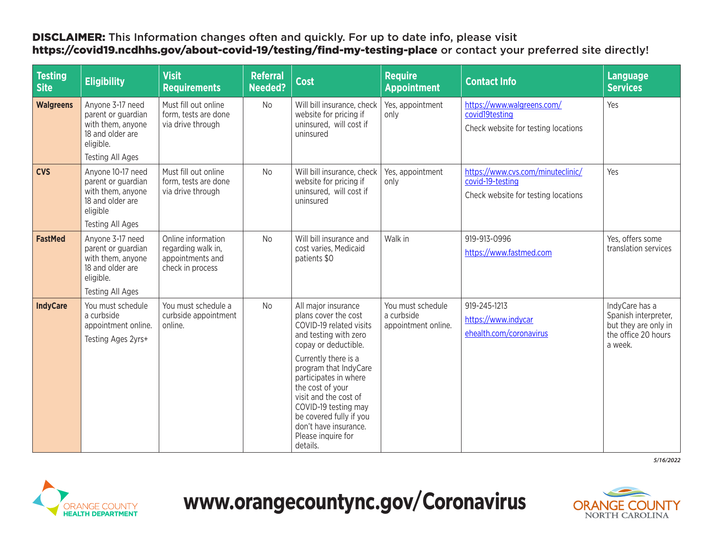## DISCLAIMER: This Information changes often and quickly. For up to date info, please visit <https://covid19.ncdhhs.gov/about-covid-19/testing/find-my-testing-place> or contact your preferred site directly!

| <b>Testing</b><br><b>Site</b> | <b>Eligibility</b>                                                                                                      | <b>Visit</b><br><b>Requirements</b>                                              | <b>Referral</b><br><b>Needed?</b> | Cost                                                                                                                                                                                                                                                                                                                                                         | <b>Require</b><br><b>Appointment</b>                   | <b>Contact Info</b>                                                                          | <b>Language</b><br><b>Services</b>                                                               |
|-------------------------------|-------------------------------------------------------------------------------------------------------------------------|----------------------------------------------------------------------------------|-----------------------------------|--------------------------------------------------------------------------------------------------------------------------------------------------------------------------------------------------------------------------------------------------------------------------------------------------------------------------------------------------------------|--------------------------------------------------------|----------------------------------------------------------------------------------------------|--------------------------------------------------------------------------------------------------|
| <b>Walgreens</b>              | Anyone 3-17 need<br>parent or guardian<br>with them, anyone<br>18 and older are<br>eligible.                            | Must fill out online<br>form, tests are done<br>via drive through                | No                                | Will bill insurance, check<br>website for pricing if<br>uninsured, will cost if<br>uninsured                                                                                                                                                                                                                                                                 | Yes, appointment<br>only                               | https://www.walgreens.com/<br>covid19testing<br>Check website for testing locations          | Yes                                                                                              |
|                               | <b>Testing All Ages</b>                                                                                                 |                                                                                  |                                   |                                                                                                                                                                                                                                                                                                                                                              |                                                        |                                                                                              |                                                                                                  |
| <b>CVS</b>                    | Anyone 10-17 need<br>parent or guardian<br>with them, anyone<br>18 and older are<br>eligible                            | Must fill out online<br>form, tests are done<br>via drive through                | <b>No</b>                         | Will bill insurance, check<br>website for pricing if<br>uninsured, will cost if<br>uninsured                                                                                                                                                                                                                                                                 | Yes, appointment<br>only                               | https://www.cvs.com/minuteclinic/<br>covid-19-testing<br>Check website for testing locations | Yes                                                                                              |
|                               | <b>Testing All Ages</b>                                                                                                 |                                                                                  |                                   |                                                                                                                                                                                                                                                                                                                                                              |                                                        |                                                                                              |                                                                                                  |
| <b>FastMed</b>                | Anyone 3-17 need<br>parent or guardian<br>with them, anyone<br>18 and older are<br>eligible.<br><b>Testing All Ages</b> | Online information<br>regarding walk in,<br>appointments and<br>check in process | <b>No</b>                         | Will bill insurance and<br>cost varies, Medicaid<br>patients \$0                                                                                                                                                                                                                                                                                             | Walk in                                                | 919-913-0996<br>https://www.fastmed.com                                                      | Yes, offers some<br>translation services                                                         |
| <b>IndyCare</b>               | You must schedule<br>a curbside<br>appointment online.<br>Testing Ages 2yrs+                                            | You must schedule a<br>curbside appointment<br>online.                           | <b>No</b>                         | All major insurance<br>plans cover the cost<br>COVID-19 related visits<br>and testing with zero<br>copay or deductible.<br>Currently there is a<br>program that IndyCare<br>participates in where<br>the cost of your<br>visit and the cost of<br>COVID-19 testing may<br>be covered fully if you<br>don't have insurance.<br>Please inquire for<br>details. | You must schedule<br>a curbside<br>appointment online. | 919-245-1213<br>https://www.indycar<br>ehealth.com/coronavirus                               | IndyCare has a<br>Spanish interpreter,<br>but they are only in<br>the office 20 hours<br>a week. |

*5/16/2022*



## **[www.orangecountync.gov/Coronavirus](http://www.orangecountync.gov/Coronavirus)**